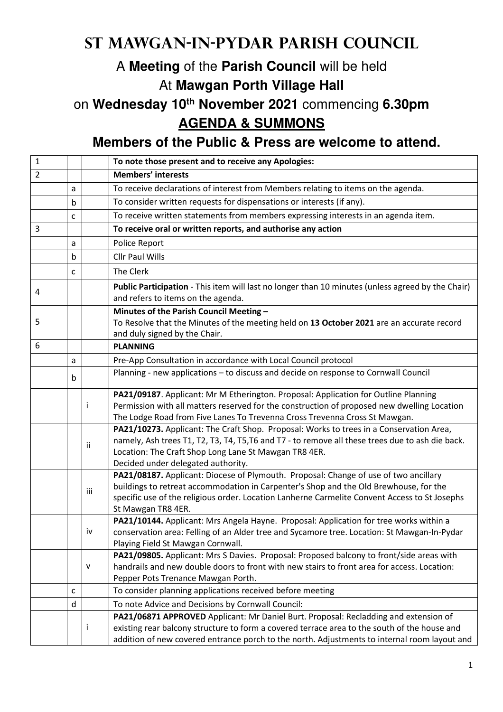## **St Mawgan-in-Pydar Parish Council**

## A **Meeting** of the **Parish Council** will be held At **Mawgan Porth Village Hall**

on **Wednesday 10th November 2021** commencing **6.30pm AGENDA & SUMMONS** 

**Members of the Public & Press are welcome to attend.** 

| $\mathbf{1}$   |   |     | To note those present and to receive any Apologies:                                                                                                                   |
|----------------|---|-----|-----------------------------------------------------------------------------------------------------------------------------------------------------------------------|
| $\overline{2}$ |   |     | <b>Members' interests</b>                                                                                                                                             |
|                | a |     | To receive declarations of interest from Members relating to items on the agenda.                                                                                     |
|                | b |     | To consider written requests for dispensations or interests (if any).                                                                                                 |
|                | c |     | To receive written statements from members expressing interests in an agenda item.                                                                                    |
| 3              |   |     | To receive oral or written reports, and authorise any action                                                                                                          |
|                | a |     | Police Report                                                                                                                                                         |
|                | b |     | <b>Cllr Paul Wills</b>                                                                                                                                                |
|                | c |     | The Clerk                                                                                                                                                             |
| 4              |   |     | Public Participation - This item will last no longer than 10 minutes (unless agreed by the Chair)<br>and refers to items on the agenda.                               |
|                |   |     | Minutes of the Parish Council Meeting -                                                                                                                               |
| 5              |   |     | To Resolve that the Minutes of the meeting held on 13 October 2021 are an accurate record<br>and duly signed by the Chair.                                            |
| 6              |   |     | <b>PLANNING</b>                                                                                                                                                       |
|                | a |     | Pre-App Consultation in accordance with Local Council protocol                                                                                                        |
|                | b |     | Planning - new applications - to discuss and decide on response to Cornwall Council                                                                                   |
|                |   |     | PA21/09187. Applicant: Mr M Etherington. Proposal: Application for Outline Planning                                                                                   |
|                |   | I   | Permission with all matters reserved for the construction of proposed new dwelling Location                                                                           |
|                |   |     | The Lodge Road from Five Lanes To Trevenna Cross Trevenna Cross St Mawgan.<br>PA21/10273. Applicant: The Craft Shop. Proposal: Works to trees in a Conservation Area, |
|                |   |     | namely, Ash trees T1, T2, T3, T4, T5, T6 and T7 - to remove all these trees due to ash die back.                                                                      |
|                |   | Ιİ  | Location: The Craft Shop Long Lane St Mawgan TR8 4ER.                                                                                                                 |
|                |   |     | Decided under delegated authority.                                                                                                                                    |
|                |   |     | PA21/08187. Applicant: Diocese of Plymouth. Proposal: Change of use of two ancillary                                                                                  |
|                |   |     | buildings to retreat accommodation in Carpenter's Shop and the Old Brewhouse, for the                                                                                 |
|                |   | iii | specific use of the religious order. Location Lanherne Carmelite Convent Access to St Josephs                                                                         |
|                |   |     | St Mawgan TR8 4ER.                                                                                                                                                    |
|                |   |     | PA21/10144. Applicant: Mrs Angela Hayne. Proposal: Application for tree works within a                                                                                |
|                |   | iv  | conservation area: Felling of an Alder tree and Sycamore tree. Location: St Mawgan-In-Pydar<br>Playing Field St Mawgan Cornwall.                                      |
|                |   |     | PA21/09805. Applicant: Mrs S Davies. Proposal: Proposed balcony to front/side areas with                                                                              |
|                |   | v   | handrails and new double doors to front with new stairs to front area for access. Location:                                                                           |
|                |   |     | Pepper Pots Trenance Mawgan Porth.                                                                                                                                    |
|                | c |     | To consider planning applications received before meeting                                                                                                             |
|                | d |     | To note Advice and Decisions by Cornwall Council:                                                                                                                     |
|                |   |     | PA21/06871 APPROVED Applicant: Mr Daniel Burt. Proposal: Recladding and extension of                                                                                  |
|                |   | ı   | existing rear balcony structure to form a covered terrace area to the south of the house and                                                                          |
|                |   |     | addition of new covered entrance porch to the north. Adjustments to internal room layout and                                                                          |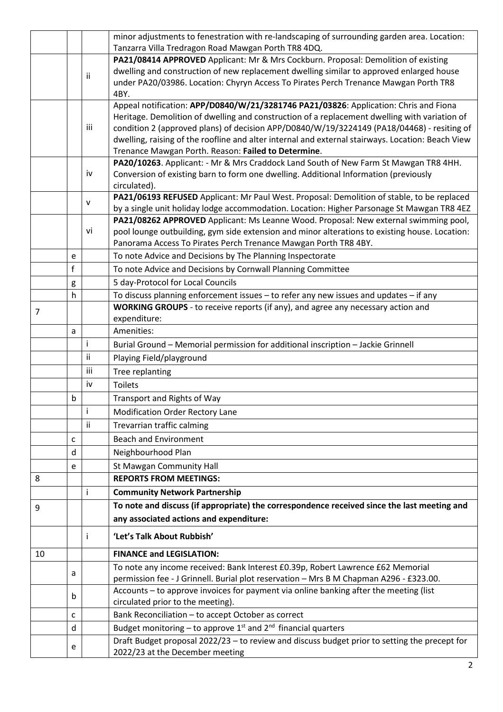|    |             |             | minor adjustments to fenestration with re-landscaping of surrounding garden area. Location:                                                                                                 |
|----|-------------|-------------|---------------------------------------------------------------------------------------------------------------------------------------------------------------------------------------------|
|    |             |             | Tanzarra Villa Tredragon Road Mawgan Porth TR8 4DQ.                                                                                                                                         |
|    |             |             | PA21/08414 APPROVED Applicant: Mr & Mrs Cockburn. Proposal: Demolition of existing                                                                                                          |
|    |             | ii          | dwelling and construction of new replacement dwelling similar to approved enlarged house                                                                                                    |
|    |             |             | under PA20/03986. Location: Chyryn Access To Pirates Perch Trenance Mawgan Porth TR8                                                                                                        |
|    |             |             | 4BY.                                                                                                                                                                                        |
|    |             |             | Appeal notification: APP/D0840/W/21/3281746 PA21/03826: Application: Chris and Fiona                                                                                                        |
|    |             | iii         | Heritage. Demolition of dwelling and construction of a replacement dwelling with variation of<br>condition 2 (approved plans) of decision APP/D0840/W/19/3224149 (PA18/04468) - resiting of |
|    |             |             | dwelling, raising of the roofline and alter internal and external stairways. Location: Beach View                                                                                           |
|    |             |             | Trenance Mawgan Porth. Reason: Failed to Determine.                                                                                                                                         |
|    |             |             | PA20/10263. Applicant: - Mr & Mrs Craddock Land South of New Farm St Mawgan TR8 4HH.                                                                                                        |
|    |             | iv          | Conversion of existing barn to form one dwelling. Additional Information (previously                                                                                                        |
|    |             |             | circulated).                                                                                                                                                                                |
|    |             |             | PA21/06193 REFUSED Applicant: Mr Paul West. Proposal: Demolition of stable, to be replaced                                                                                                  |
|    |             | v           | by a single unit holiday lodge accommodation. Location: Higher Parsonage St Mawgan TR8 4EZ                                                                                                  |
|    |             |             | PA21/08262 APPROVED Applicant: Ms Leanne Wood. Proposal: New external swimming pool,                                                                                                        |
|    |             | vi          | pool lounge outbuilding, gym side extension and minor alterations to existing house. Location:                                                                                              |
|    |             |             | Panorama Access To Pirates Perch Trenance Mawgan Porth TR8 4BY.                                                                                                                             |
|    | e           |             | To note Advice and Decisions by The Planning Inspectorate                                                                                                                                   |
|    | $\mathsf f$ |             | To note Advice and Decisions by Cornwall Planning Committee                                                                                                                                 |
|    | g           |             | 5 day-Protocol for Local Councils                                                                                                                                                           |
|    | h           |             | To discuss planning enforcement issues - to refer any new issues and updates - if any                                                                                                       |
| 7  |             |             | WORKING GROUPS - to receive reports (if any), and agree any necessary action and                                                                                                            |
|    |             |             | expenditure:                                                                                                                                                                                |
|    | a           |             | Amenities:                                                                                                                                                                                  |
|    |             | i           | Burial Ground - Memorial permission for additional inscription - Jackie Grinnell                                                                                                            |
|    |             | ii.         | Playing Field/playground                                                                                                                                                                    |
|    |             | iii         | Tree replanting                                                                                                                                                                             |
|    |             | iv          | <b>Toilets</b>                                                                                                                                                                              |
|    | b           |             | Transport and Rights of Way                                                                                                                                                                 |
|    |             | $\mathbf i$ | Modification Order Rectory Lane                                                                                                                                                             |
|    |             | ii          | Trevarrian traffic calming                                                                                                                                                                  |
|    | c           |             | <b>Beach and Environment</b>                                                                                                                                                                |
|    | d           |             | Neighbourhood Plan                                                                                                                                                                          |
|    |             |             |                                                                                                                                                                                             |
|    | e           |             | St Mawgan Community Hall                                                                                                                                                                    |
| 8  |             |             | <b>REPORTS FROM MEETINGS:</b>                                                                                                                                                               |
|    |             | Ť           | <b>Community Network Partnership</b>                                                                                                                                                        |
| 9  |             |             | To note and discuss (if appropriate) the correspondence received since the last meeting and                                                                                                 |
|    |             |             | any associated actions and expenditure:                                                                                                                                                     |
|    |             |             | 'Let's Talk About Rubbish'                                                                                                                                                                  |
| 10 |             |             | <b>FINANCE and LEGISLATION:</b>                                                                                                                                                             |
|    | a           |             | To note any income received: Bank Interest £0.39p, Robert Lawrence £62 Memorial<br>permission fee - J Grinnell. Burial plot reservation - Mrs B M Chapman A296 - £323.00.                   |
|    | b           |             | Accounts - to approve invoices for payment via online banking after the meeting (list                                                                                                       |
|    |             |             | circulated prior to the meeting).                                                                                                                                                           |
|    | c           |             | Bank Reconciliation - to accept October as correct                                                                                                                                          |
|    | d           |             | Budget monitoring – to approve $1st$ and $2nd$ financial quarters                                                                                                                           |
|    | e           |             | Draft Budget proposal 2022/23 - to review and discuss budget prior to setting the precept for<br>2022/23 at the December meeting                                                            |